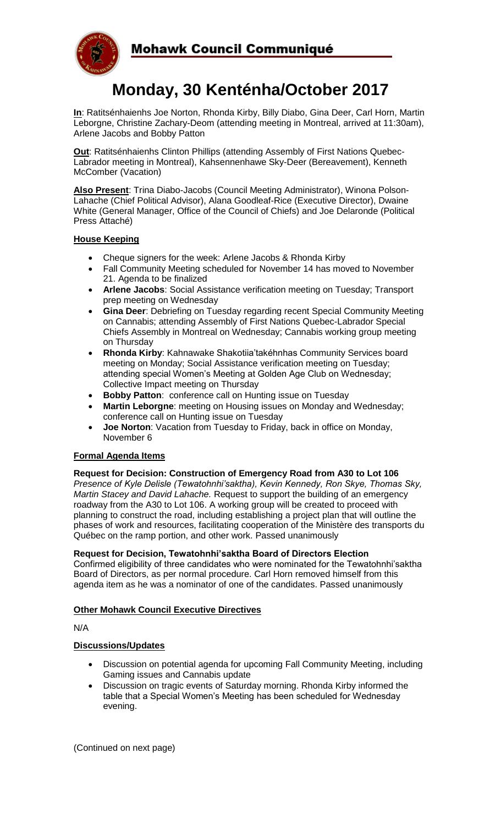

# **Monday, 30 Kenténha/October 2017**

**In**: Ratitsénhaienhs Joe Norton, Rhonda Kirby, Billy Diabo, Gina Deer, Carl Horn, Martin Leborgne, Christine Zachary-Deom (attending meeting in Montreal, arrived at 11:30am), Arlene Jacobs and Bobby Patton

**Out**: Ratitsénhaienhs Clinton Phillips (attending Assembly of First Nations Quebec-Labrador meeting in Montreal), Kahsennenhawe Sky-Deer (Bereavement), Kenneth McComber (Vacation)

**Also Present**: Trina Diabo-Jacobs (Council Meeting Administrator), Winona Polson-Lahache (Chief Political Advisor), Alana Goodleaf-Rice (Executive Director), Dwaine White (General Manager, Office of the Council of Chiefs) and Joe Delaronde (Political Press Attaché)

#### **House Keeping**

- Cheque signers for the week: Arlene Jacobs & Rhonda Kirby
- Fall Community Meeting scheduled for November 14 has moved to November 21. Agenda to be finalized
- **Arlene Jacobs**: Social Assistance verification meeting on Tuesday; Transport prep meeting on Wednesday
- **Gina Deer**: Debriefing on Tuesday regarding recent Special Community Meeting on Cannabis; attending Assembly of First Nations Quebec-Labrador Special Chiefs Assembly in Montreal on Wednesday; Cannabis working group meeting on Thursday
- **Rhonda Kirby**: Kahnawake Shakotiia'takéhnhas Community Services board meeting on Monday; Social Assistance verification meeting on Tuesday; attending special Women's Meeting at Golden Age Club on Wednesday; Collective Impact meeting on Thursday
- **Bobby Patton**: conference call on Hunting issue on Tuesday
- **Martin Leborgne**: meeting on Housing issues on Monday and Wednesday; conference call on Hunting issue on Tuesday
- **Joe Norton**: Vacation from Tuesday to Friday, back in office on Monday, November 6

### **Formal Agenda Items**

#### **Request for Decision: Construction of Emergency Road from A30 to Lot 106**

*Presence of Kyle Delisle (Tewatohnhi'saktha), Kevin Kennedy, Ron Skye, Thomas Sky, Martin Stacey and David Lahache.* Request to support the building of an emergency roadway from the A30 to Lot 106. A working group will be created to proceed with planning to construct the road, including establishing a project plan that will outline the phases of work and resources, facilitating cooperation of the Ministère des transports du Québec on the ramp portion, and other work. Passed unanimously

#### **Request for Decision, Tewatohnhi'saktha Board of Directors Election**

Confirmed eligibility of three candidates who were nominated for the Tewatohnhi'saktha Board of Directors, as per normal procedure. Carl Horn removed himself from this agenda item as he was a nominator of one of the candidates. Passed unanimously

#### **Other Mohawk Council Executive Directives**

N/A

#### **Discussions/Updates**

- Discussion on potential agenda for upcoming Fall Community Meeting, including Gaming issues and Cannabis update
- Discussion on tragic events of Saturday morning. Rhonda Kirby informed the table that a Special Women's Meeting has been scheduled for Wednesday evening.

(Continued on next page)